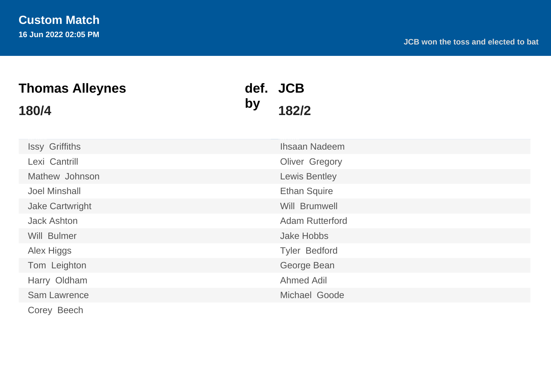| <b>Thomas Alleynes</b> |    | def. JCB               |  |  |  |  |  |  |
|------------------------|----|------------------------|--|--|--|--|--|--|
| 180/4                  | by | 182/2                  |  |  |  |  |  |  |
| <b>Issy Griffiths</b>  |    | <b>Ihsaan Nadeem</b>   |  |  |  |  |  |  |
| Lexi Cantrill          |    | <b>Oliver Gregory</b>  |  |  |  |  |  |  |
| Mathew Johnson         |    | <b>Lewis Bentley</b>   |  |  |  |  |  |  |
| <b>Joel Minshall</b>   |    | <b>Ethan Squire</b>    |  |  |  |  |  |  |
| <b>Jake Cartwright</b> |    | Will Brumwell          |  |  |  |  |  |  |
| <b>Jack Ashton</b>     |    | <b>Adam Rutterford</b> |  |  |  |  |  |  |
| Will Bulmer            |    | <b>Jake Hobbs</b>      |  |  |  |  |  |  |
| <b>Alex Higgs</b>      |    | <b>Tyler Bedford</b>   |  |  |  |  |  |  |
| Tom Leighton           |    | George Bean            |  |  |  |  |  |  |
| Harry Oldham           |    | <b>Ahmed Adil</b>      |  |  |  |  |  |  |
| Sam Lawrence           |    | Michael Goode          |  |  |  |  |  |  |
| Corey Beech            |    |                        |  |  |  |  |  |  |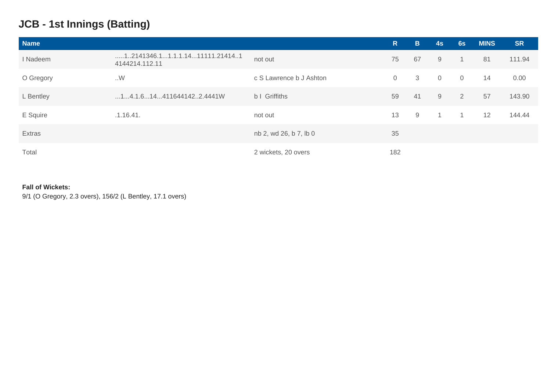## **JCB - 1st Innings (Batting)**

| <b>Name</b> |                                                           |                         | R              | B. | 4s             | 6s             | <b>MINS</b> | <b>SR</b> |
|-------------|-----------------------------------------------------------|-------------------------|----------------|----|----------------|----------------|-------------|-----------|
| I Nadeem    | $\dots$ 1.2141346.11.1.1.1411111.214141<br>4144214.112.11 | not out                 | 75             | 67 | 9              | $\mathbf{1}$   | 81          | 111.94    |
| O Gregory   | W                                                         | c S Lawrence b J Ashton | $\overline{0}$ | 3  | $\overline{0}$ | $\overline{0}$ | 14          | 0.00      |
| L Bentley   | $\dots$ 14.1.6144116441422.4441W                          | b I Griffiths           | 59             | 41 | 9              | $\overline{2}$ | 57          | 143.90    |
| E Squire    | .1.16.41.                                                 | not out                 | 13             | 9  | $\mathbf{1}$   |                | 12          | 144.44    |
| Extras      |                                                           | nb 2, wd 26, b 7, lb 0  | 35             |    |                |                |             |           |
| Total       |                                                           | 2 wickets, 20 overs     | 182            |    |                |                |             |           |

### **Fall of Wickets:**

9/1 (O Gregory, 2.3 overs), 156/2 (L Bentley, 17.1 overs)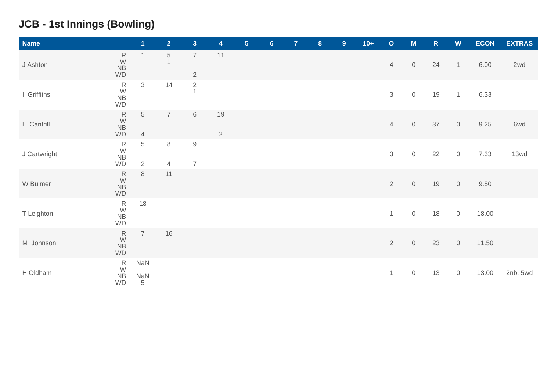# **JCB - 1st Innings (Bowling)**

| <b>Name</b>  |                                                   | $\overline{\mathbf{1}}$       | 2 <sup>1</sup>                | 3 <sup>1</sup>                   | $\overline{\mathbf{4}}$ | 5 <sub>5</sub> | 6 <sup>1</sup> | $\overline{7}$ | 8 | 9 | $10+$ | $\circ$        | M                   | $\mathsf R$ | W              | <b>ECON</b> | <b>EXTRAS</b> |
|--------------|---------------------------------------------------|-------------------------------|-------------------------------|----------------------------------|-------------------------|----------------|----------------|----------------|---|---|-------|----------------|---------------------|-------------|----------------|-------------|---------------|
| J Ashton     | ${\sf R}$<br>$\frac{W}{NB}$<br>WD                 | $\mathbf{1}$                  | $\,$ 5 $\,$<br>$\overline{1}$ | $\overline{7}$<br>$\overline{2}$ | 11                      |                |                |                |   |   |       | $\overline{4}$ | $\mathsf{O}\xspace$ | 24          | $\mathbf{1}$   | 6.00        | 2wd           |
| I Griffiths  | $\begin{array}{c} R \\ W \\ NB \end{array}$<br>WD | $\mathfrak{Z}$                | 14                            | $\frac{2}{1}$                    |                         |                |                |                |   |   |       | $\sqrt{3}$     | $\mathsf O$         | 19          | $\overline{1}$ | 6.33        |               |
| L Cantrill   | $\begin{array}{c} R \\ W \\ NB \end{array}$<br>WD | $\,$ 5 $\,$<br>$\overline{4}$ | $\overline{7}$                | $\,6\,$                          | 19<br>$\overline{2}$    |                |                |                |   |   |       | $\overline{4}$ | $\mathbb O$         | 37          | $\mathbf 0$    | 9.25        | 6wd           |
| J Cartwright | $\frac{R}{W}$<br>${\sf NB}$<br>WD                 | $\,$ 5 $\,$<br>$\overline{2}$ | $\,8\,$<br>$\overline{4}$     | $9\,$<br>$\overline{7}$          |                         |                |                |                |   |   |       | $\sqrt{3}$     | $\mathsf{O}\xspace$ | 22          | $\mathsf{O}$   | 7.33        | 13wd          |
| W Bulmer     | ${\sf R}$<br>$\frac{W}{NB}$<br>WD                 | $\,8\,$                       | 11                            |                                  |                         |                |                |                |   |   |       | $\overline{2}$ | $\mathbb O$         | 19          | $\mathbf 0$    | 9.50        |               |
| T Leighton   | $R$ W<br>NB<br>$\mathsf{WD}$                      | 18                            |                               |                                  |                         |                |                |                |   |   |       | $\mathbf{1}$   | $\mathsf{O}$        | 18          | $\mathsf{O}$   | 18.00       |               |
| M Johnson    | ${\sf R}$<br>$\frac{W}{NB}$<br>WD                 | $\overline{7}$                | 16                            |                                  |                         |                |                |                |   |   |       | $\overline{2}$ | $\mathbb O$         | 23          | $\mathsf{O}$   | 11.50       |               |
| H Oldham     | $\begin{array}{c} R \\ W \\ NB \end{array}$<br>WD | NaN<br>NaN<br>$\frac{5}{5}$   |                               |                                  |                         |                |                |                |   |   |       | $\mathbf{1}$   | $\mathsf{O}\xspace$ | 13          | $\mathbf 0$    | 13.00       | 2nb, 5wd      |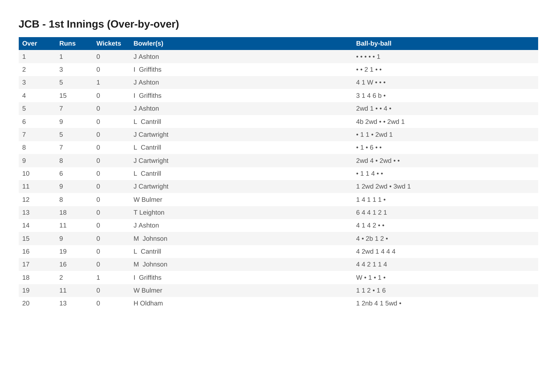# **JCB - 1st Innings (Over-by-over)**

| Over           | <b>Runs</b>     | <b>Wickets</b>      | <b>Bowler(s)</b> | <b>Ball-by-ball</b>                                   |
|----------------|-----------------|---------------------|------------------|-------------------------------------------------------|
| 1              | $\mathbf{1}$    | $\overline{0}$      | J Ashton         | $\bullet\bullet\bullet\bullet\bullet\bullet\text{ }1$ |
| $\overline{2}$ | $\mathfrak{S}$  | $\overline{0}$      | I Griffiths      | $\bullet \bullet 2 1 \bullet \bullet$                 |
| $\mathfrak{S}$ | $\overline{5}$  | 1                   | J Ashton         | $41W \bullet \bullet \bullet$                         |
| $\overline{4}$ | 15              | $\overline{0}$      | I Griffiths      | 3146b                                                 |
| 5              | $7\overline{ }$ | $\mathsf{O}\xspace$ | J Ashton         | $2wd 1 \cdot 4 \cdot$                                 |
| 6              | $9\,$           | $\overline{0}$      | L Cantrill       | 4b 2wd • • 2wd 1                                      |
| $\overline{7}$ | $5\phantom{.0}$ | $\mathsf{O}\xspace$ | J Cartwright     | • $11 • 2wd 1$                                        |
| 8              | $\overline{7}$  | $\overline{0}$      | L Cantrill       | • 1 • 6 • •                                           |
| 9              | 8               | $\overline{0}$      | J Cartwright     | 2wd 4 • 2wd • •                                       |
| 10             | $6\,$           | $\mathsf{O}\xspace$ | L Cantrill       | • 1 1 4 • •                                           |
| 11             | 9               | $\mathsf{O}\xspace$ | J Cartwright     | 1 2wd 2wd • 3wd 1                                     |
| 12             | $\,8\,$         | $\mathsf{O}\xspace$ | W Bulmer         | 14111                                                 |
| 13             | 18              | $\overline{0}$      | T Leighton       | 644121                                                |
| 14             | 11              | $\sigma$            | J Ashton         | 4142                                                  |
| 15             | $9\,$           | $\overline{0}$      | M Johnson        | 4 • 2b 1 2 •                                          |
| 16             | 19              | $\mathsf{O}\xspace$ | L Cantrill       | 4 2wd 1 4 4 4                                         |
| 17             | 16              | $\mathsf{O}\xspace$ | M Johnson        | 442114                                                |
| 18             | $\overline{2}$  | $\mathbf{1}$        | I Griffiths      | $W \cdot 1 \cdot 1 \cdot$                             |
| 19             | 11              | $\mathsf{O}\xspace$ | W Bulmer         | 112 • 16                                              |
| 20             | 13              | $\mathsf{O}\xspace$ | H Oldham         | 1 2nb 4 1 5wd •                                       |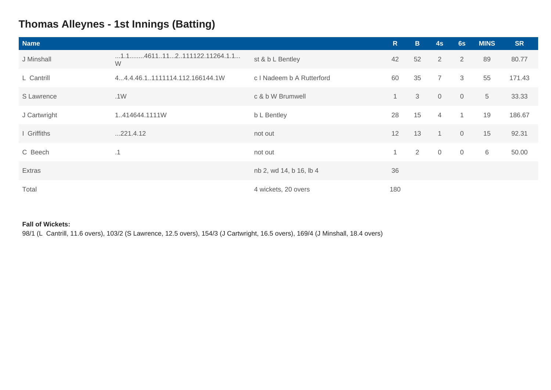### **Thomas Alleynes - 1st Innings (Batting)**

| <b>Name</b>  |                                                   |                           | R              | $\mathbf B$ | 4s             | 6s             | <b>MINS</b> | <b>SR</b> |
|--------------|---------------------------------------------------|---------------------------|----------------|-------------|----------------|----------------|-------------|-----------|
| J Minshall   | $\dots$ 1.1. $\dots$ 4611112111122.11264.1.1<br>W | st & b L Bentley          | 42             | 52          | 2              | 2              | 89          | 80.77     |
| L Cantrill   | 44.4.46.11111114.112.166144.1W                    | c I Nadeem b A Rutterford | 60             | 35          | $\overline{7}$ | 3              | 55          | 171.43    |
| S Lawrence   | .1W                                               | c & b W Brumwell          | $\overline{1}$ | 3           | $\overline{0}$ | $\overline{0}$ | $\sqrt{5}$  | 33.33     |
| J Cartwright | 1.414644.1111W                                    | b L Bentley               | 28             | 15          | $\overline{4}$ | $\mathbf{1}$   | 19          | 186.67    |
| I Griffiths  | 221.4.12                                          | not out                   | 12             | 13          | $\overline{1}$ | $\overline{0}$ | 15          | 92.31     |
| C Beech      | .1                                                | not out                   | $\mathbf{1}$   | 2           | $\overline{0}$ | $\overline{0}$ | 6           | 50.00     |
| Extras       |                                                   | nb 2, wd 14, b 16, lb 4   | 36             |             |                |                |             |           |
| Total        |                                                   | 4 wickets, 20 overs       | 180            |             |                |                |             |           |

#### **Fall of Wickets:**

98/1 (L Cantrill, 11.6 overs), 103/2 (S Lawrence, 12.5 overs), 154/3 (J Cartwright, 16.5 overs), 169/4 (J Minshall, 18.4 overs)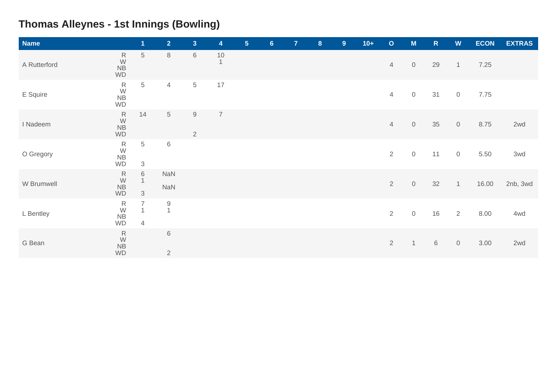# **Thomas Alleynes - 1st Innings (Bowling)**

| <b>Name</b>  |                                                              | $\overline{1}$                                   | 2 <sup>1</sup>                | 3 <sup>1</sup>               | 4                    | 5 <sub>5</sub> | $6\phantom{a}$ | 7 <sup>1</sup> | 8 | 9 | $10+$ | $\circ$        | M                   | $\mathsf R$ | W                   | <b>ECON</b> | <b>EXTRAS</b> |
|--------------|--------------------------------------------------------------|--------------------------------------------------|-------------------------------|------------------------------|----------------------|----------------|----------------|----------------|---|---|-------|----------------|---------------------|-------------|---------------------|-------------|---------------|
| A Rutterford | $\mathsf R$<br>$\frac{W}{NB}$<br><b>WD</b>                   | 5                                                | $\,8\,$                       | 6                            | $10$<br>$\mathbf{1}$ |                |                |                |   |   |       | $\overline{4}$ | $\mathsf O$         | 29          | $\mathbf{1}$        | 7.25        |               |
| E Squire     | ${\sf R}$<br>W<br>NB<br><b>WD</b>                            | $5\phantom{.0}$                                  | $\overline{4}$                | $\overline{5}$               | 17                   |                |                |                |   |   |       | $\overline{4}$ | $\mathsf O$         | 31          | $\mathbf 0$         | 7.75        |               |
| I Nadeem     | ${\sf R}$<br>W<br><b>NB</b><br><b>WD</b>                     | 14                                               | $\mathbf 5$                   | $\hbox{9}$<br>$\overline{2}$ | $\overline{7}$       |                |                |                |   |   |       | $\overline{4}$ | $\mathbf 0$         | 35          | $\mathbf 0$         | 8.75        | 2wd           |
| O Gregory    | $\begin{array}{c} R \\ W \\ NB \end{array}$<br><b>WD</b>     | 5<br>3                                           | $\,6$                         |                              |                      |                |                |                |   |   |       | $\overline{2}$ | $\mathsf O$         | 11          | $\mathbb O$         | 5.50        | 3wd           |
| W Brumwell   | $\overset{\mathsf{R}}{\mathsf{W}}$<br><b>NB</b><br><b>WD</b> | 6<br>$\mathbf{1}$<br>$\mathfrak{S}$              | <b>NaN</b><br><b>NaN</b>      |                              |                      |                |                |                |   |   |       | $\sqrt{2}$     | $\mathsf O$         | 32          | $\mathbf{1}$        | 16.00       | 2nb, 3wd      |
| L Bentley    | $\begin{array}{c} R \\ W \\ NB \end{array}$<br><b>WD</b>     | $\overline{7}$<br>$\mathbf{1}$<br>$\overline{4}$ | $\mathsf 9$<br>$\mathbf{1}$   |                              |                      |                |                |                |   |   |       | $\overline{2}$ | $\mathsf{O}\xspace$ | 16          | 2                   | 8.00        | 4wd           |
| G Bean       | ${\sf R}$<br>W<br>NB<br>WD                                   |                                                  | $\,$ 6 $\,$<br>$\overline{2}$ |                              |                      |                |                |                |   |   |       | $\overline{2}$ | 1                   | $\,6\,$     | $\mathsf{O}\xspace$ | 3.00        | 2wd           |